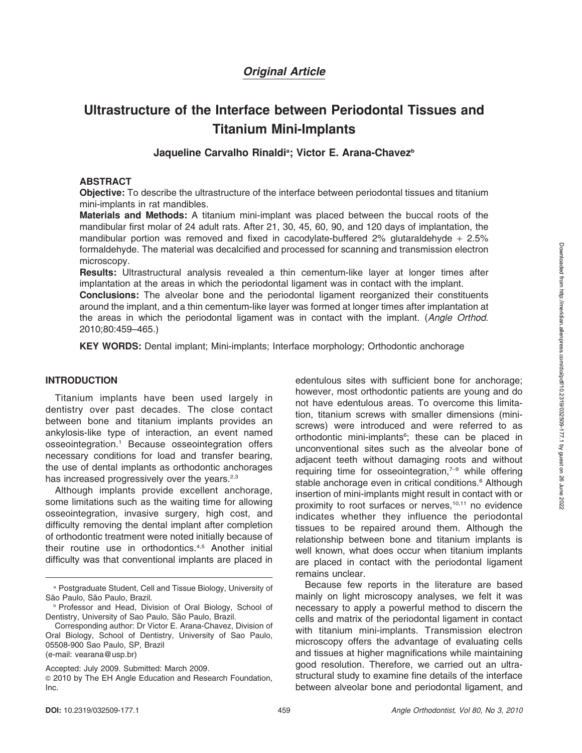# Original Article

# Ultrastructure of the Interface between Periodontal Tissues and Titanium Mini-Implants

# Jaqueline Carvalho Rinaldi<sup>a</sup>; Victor E. Arana-Chavez<sup>b</sup>

# ABSTRACT

Objective: To describe the ultrastructure of the interface between periodontal tissues and titanium mini-implants in rat mandibles.

Materials and Methods: A titanium mini-implant was placed between the buccal roots of the mandibular first molar of 24 adult rats. After 21, 30, 45, 60, 90, and 120 days of implantation, the mandibular portion was removed and fixed in cacodylate-buffered  $2\%$  glutaraldehyde +  $2.5\%$ formaldehyde. The material was decalcified and processed for scanning and transmission electron microscopy.

Results: Ultrastructural analysis revealed a thin cementum-like layer at longer times after implantation at the areas in which the periodontal ligament was in contact with the implant.

Conclusions: The alveolar bone and the periodontal ligament reorganized their constituents around the implant, and a thin cementum-like layer was formed at longer times after implantation at the areas in which the periodontal ligament was in contact with the implant. (Angle Orthod. 2010;80:459–465.)

KEY WORDS: Dental implant; Mini-implants; Interface morphology; Orthodontic anchorage

#### INTRODUCTION

Titanium implants have been used largely in dentistry over past decades. The close contact between bone and titanium implants provides an ankylosis-like type of interaction, an event named osseointegration.1 Because osseointegration offers necessary conditions for load and transfer bearing, the use of dental implants as orthodontic anchorages has increased progressively over the years.<sup>2,3</sup>

Although implants provide excellent anchorage, some limitations such as the waiting time for allowing osseointegration, invasive surgery, high cost, and difficulty removing the dental implant after completion of orthodontic treatment were noted initially because of their routine use in orthodontics.<sup>4,5</sup> Another initial difficulty was that conventional implants are placed in

Accepted: July 2009. Submitted: March 2009.

edentulous sites with sufficient bone for anchorage; however, most orthodontic patients are young and do not have edentulous areas. To overcome this limitation, titanium screws with smaller dimensions (miniscrews) were introduced and were referred to as orthodontic mini-implants<sup>6</sup>; these can be placed in unconventional sites such as the alveolar bone of adjacent teeth without damaging roots and without requiring time for osseointegration,<sup>7-9</sup> while offering stable anchorage even in critical conditions.<sup>6</sup> Although insertion of mini-implants might result in contact with or proximity to root surfaces or nerves,<sup>10,11</sup> no evidence indicates whether they influence the periodontal tissues to be repaired around them. Although the relationship between bone and titanium implants is well known, what does occur when titanium implants are placed in contact with the periodontal ligament remains unclear.

Because few reports in the literature are based mainly on light microscopy analyses, we felt it was necessary to apply a powerful method to discern the cells and matrix of the periodontal ligament in contact with titanium mini-implants. Transmission electron microscopy offers the advantage of evaluating cells and tissues at higher magnifications while maintaining good resolution. Therefore, we carried out an ultrastructural study to examine fine details of the interface between alveolar bone and periodontal ligament, and

<sup>a</sup> Postgraduate Student, Cell and Tissue Biology, University of São Paulo, São Paulo, Brazil.

**Professor and Head, Division of Oral Biology, School of** Dentistry, University of Sao Paulo, São Paulo, Brazil.

Corresponding author: Dr Victor E. Arana-Chavez, Division of Oral Biology, School of Dentistry, University of Sao Paulo, 05508-900 Sao Paulo, SP, Brazil (e-mail: vearana@usp.br)

<sup>G</sup> 2010 by The EH Angle Education and Research Foundation, Inc.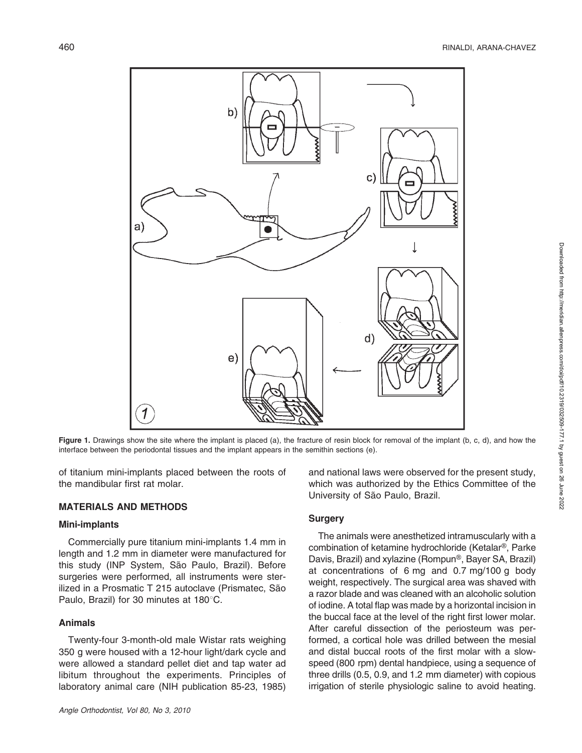

Figure 1. Drawings show the site where the implant is placed (a), the fracture of resin block for removal of the implant (b, c, d), and how the interface between the periodontal tissues and the implant appears in the semithin sections (e).

of titanium mini-implants placed between the roots of the mandibular first rat molar.

# MATERIALS AND METHODS

#### Mini-implants

Commercially pure titanium mini-implants 1.4 mm in length and 1.2 mm in diameter were manufactured for this study (INP System, São Paulo, Brazil). Before surgeries were performed, all instruments were sterilized in a Prosmatic T 215 autoclave (Prismatec, São Paulo, Brazil) for 30 minutes at  $180^{\circ}$ C.

# Animals

Twenty-four 3-month-old male Wistar rats weighing 350 g were housed with a 12-hour light/dark cycle and were allowed a standard pellet diet and tap water ad libitum throughout the experiments. Principles of laboratory animal care (NIH publication 85-23, 1985) and national laws were observed for the present study, which was authorized by the Ethics Committee of the University of São Paulo, Brazil.

# **Surgery**

The animals were anesthetized intramuscularly with a combination of ketamine hydrochloride (Ketalar®, Parke Davis, Brazil) and xylazine (Rompun®, Bayer SA, Brazil) at concentrations of 6 mg and 0.7 mg/100 g body weight, respectively. The surgical area was shaved with a razor blade and was cleaned with an alcoholic solution of iodine. A total flap was made by a horizontal incision in the buccal face at the level of the right first lower molar. After careful dissection of the periosteum was performed, a cortical hole was drilled between the mesial and distal buccal roots of the first molar with a slowspeed (800 rpm) dental handpiece, using a sequence of three drills (0.5, 0.9, and 1.2 mm diameter) with copious irrigation of sterile physiologic saline to avoid heating.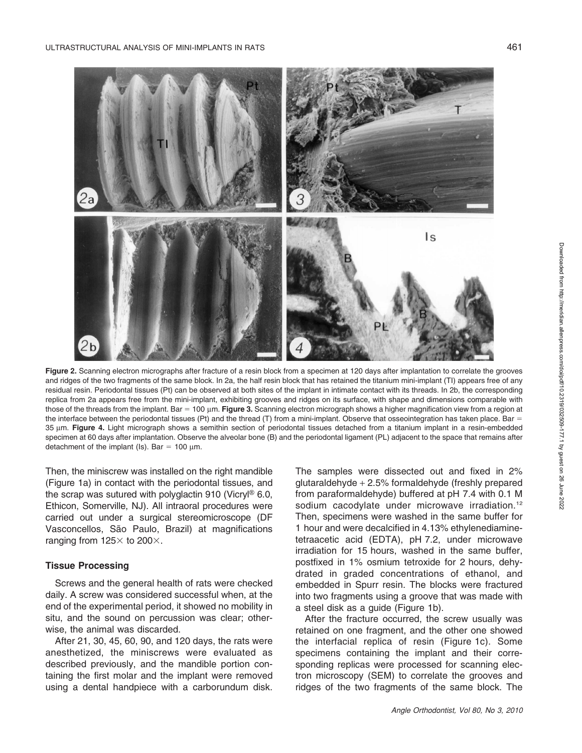

Figure 2. Scanning electron micrographs after fracture of a resin block from a specimen at 120 days after implantation to correlate the grooves and ridges of the two fragments of the same block. In 2a, the half resin block that has retained the titanium mini-implant (TI) appears free of any residual resin. Periodontal tissues (Pt) can be observed at both sites of the implant in intimate contact with its threads. In 2b, the corresponding replica from 2a appears free from the mini-implant, exhibiting grooves and ridges on its surface, with shape and dimensions comparable with those of the threads from the implant. Bar = 100  $\mu$ m. Figure 3. Scanning electron micrograph shows a higher magnification view from a region at the interface between the periodontal tissues (Pt) and the thread (T) from a mini-implant. Observe that osseointegration has taken place. Bar = 35 um. Figure 4. Light micrograph shows a semithin section of periodontal tissues detached from a titanium implant in a resin-embedded specimen at 60 days after implantation. Observe the alveolar bone (B) and the periodontal ligament (PL) adjacent to the space that remains after detachment of the implant (Is). Bar =  $100 \mu m$ .

Then, the miniscrew was installed on the right mandible (Figure 1a) in contact with the periodontal tissues, and the scrap was sutured with polyglactin 910 (Vicryl® 6.0, Ethicon, Somerville, NJ). All intraoral procedures were carried out under a surgical stereomicroscope (DF Vasconcellos, São Paulo, Brazil) at magnifications ranging from  $125\times$  to 200 $\times$ .

# Tissue Processing

Screws and the general health of rats were checked daily. A screw was considered successful when, at the end of the experimental period, it showed no mobility in situ, and the sound on percussion was clear; otherwise, the animal was discarded.

After 21, 30, 45, 60, 90, and 120 days, the rats were anesthetized, the miniscrews were evaluated as described previously, and the mandible portion containing the first molar and the implant were removed using a dental handpiece with a carborundum disk.

The samples were dissected out and fixed in 2% glutaraldehyde + 2.5% formaldehyde (freshly prepared from paraformaldehyde) buffered at pH 7.4 with 0.1 M sodium cacodylate under microwave irradiation.<sup>12</sup> Then, specimens were washed in the same buffer for 1 hour and were decalcified in 4.13% ethylenediaminetetraacetic acid (EDTA), pH 7.2, under microwave irradiation for 15 hours, washed in the same buffer, postfixed in 1% osmium tetroxide for 2 hours, dehydrated in graded concentrations of ethanol, and embedded in Spurr resin. The blocks were fractured into two fragments using a groove that was made with a steel disk as a guide (Figure 1b).

After the fracture occurred, the screw usually was retained on one fragment, and the other one showed the interfacial replica of resin (Figure 1c). Some specimens containing the implant and their corresponding replicas were processed for scanning electron microscopy (SEM) to correlate the grooves and ridges of the two fragments of the same block. The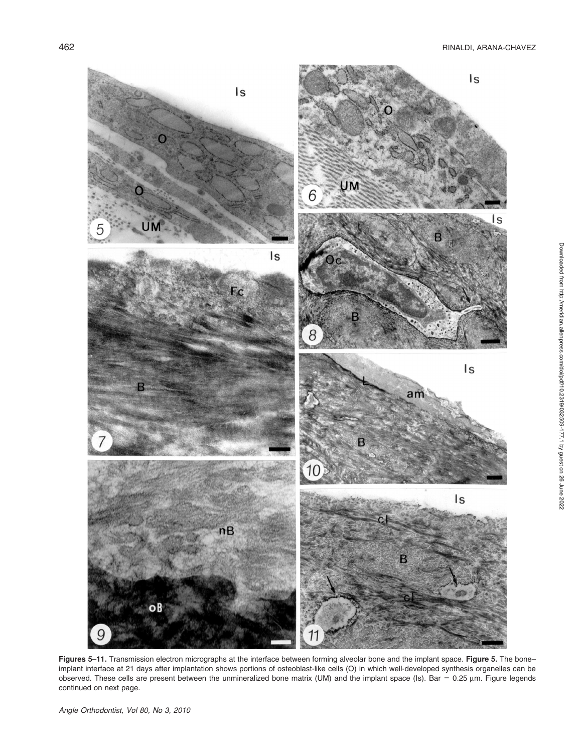

Figures 5-11. Transmission electron micrographs at the interface between forming alveolar bone and the implant space. Figure 5. The boneimplant interface at 21 days after implantation shows portions of osteoblast-like cells (O) in which well-developed synthesis organelles can be observed. These cells are present between the unmineralized bone matrix (UM) and the implant space (Is). Bar =  $0.25 \mu m$ . Figure legends continued on next page.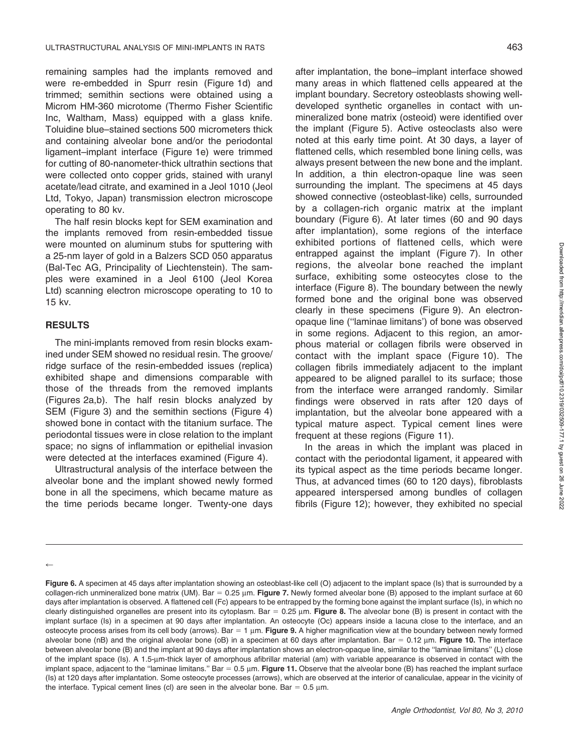remaining samples had the implants removed and were re-embedded in Spurr resin (Figure 1d) and trimmed; semithin sections were obtained using a Microm HM-360 microtome (Thermo Fisher Scientific Inc, Waltham, Mass) equipped with a glass knife. Toluidine blue–stained sections 500 micrometers thick and containing alveolar bone and/or the periodontal ligament–implant interface (Figure 1e) were trimmed for cutting of 80-nanometer-thick ultrathin sections that were collected onto copper grids, stained with uranyl acetate/lead citrate, and examined in a Jeol 1010 (Jeol Ltd, Tokyo, Japan) transmission electron microscope operating to 80 kv.

The half resin blocks kept for SEM examination and the implants removed from resin-embedded tissue were mounted on aluminum stubs for sputtering with a 25-nm layer of gold in a Balzers SCD 050 apparatus (Bal-Tec AG, Principality of Liechtenstein). The samples were examined in a Jeol 6100 (Jeol Korea Ltd) scanning electron microscope operating to 10 to 15 kv.

# RESULTS

The mini-implants removed from resin blocks examined under SEM showed no residual resin. The groove/ ridge surface of the resin-embedded issues (replica) exhibited shape and dimensions comparable with those of the threads from the removed implants (Figures 2a,b). The half resin blocks analyzed by SEM (Figure 3) and the semithin sections (Figure 4) showed bone in contact with the titanium surface. The periodontal tissues were in close relation to the implant space; no signs of inflammation or epithelial invasion were detected at the interfaces examined (Figure 4).

Ultrastructural analysis of the interface between the alveolar bone and the implant showed newly formed bone in all the specimens, which became mature as the time periods became longer. Twenty-one days Downloaded from http://meridian.allenpress.com/doi/pdf/10.2319/032509-177.1 by guest on 26 June 2022 Downloaded from http://meridian.allenpress.com/doi/pdf/10.2319/032509-177.1 by guest on 26 June 2022

after implantation, the bone–implant interface showed many areas in which flattened cells appeared at the implant boundary. Secretory osteoblasts showing welldeveloped synthetic organelles in contact with unmineralized bone matrix (osteoid) were identified over the implant (Figure 5). Active osteoclasts also were noted at this early time point. At 30 days, a layer of flattened cells, which resembled bone lining cells, was always present between the new bone and the implant. In addition, a thin electron-opaque line was seen surrounding the implant. The specimens at 45 days showed connective (osteoblast-like) cells, surrounded by a collagen-rich organic matrix at the implant boundary (Figure 6). At later times (60 and 90 days after implantation), some regions of the interface exhibited portions of flattened cells, which were entrapped against the implant (Figure 7). In other regions, the alveolar bone reached the implant surface, exhibiting some osteocytes close to the interface (Figure 8). The boundary between the newly formed bone and the original bone was observed clearly in these specimens (Figure 9). An electronopaque line (''laminae limitans') of bone was observed in some regions. Adjacent to this region, an amorphous material or collagen fibrils were observed in contact with the implant space (Figure 10). The collagen fibrils immediately adjacent to the implant appeared to be aligned parallel to its surface; those from the interface were arranged randomly. Similar findings were observed in rats after 120 days of implantation, but the alveolar bone appeared with a typical mature aspect. Typical cement lines were frequent at these regions (Figure 11).

In the areas in which the implant was placed in contact with the periodontal ligament, it appeared with its typical aspect as the time periods became longer. Thus, at advanced times (60 to 120 days), fibroblasts appeared interspersed among bundles of collagen fibrils (Figure 12); however, they exhibited no special

 $\leftarrow$ 

Figure 6. A specimen at 45 days after implantation showing an osteoblast-like cell (O) adjacent to the implant space (Is) that is surrounded by a collagen-rich unmineralized bone matrix (UM). Bar =  $0.25 \mu m$ . Figure 7. Newly formed alveolar bone (B) apposed to the implant surface at 60 days after implantation is observed. A flattened cell (Fc) appears to be entrapped by the forming bone against the implant surface (Is), in which no clearly distinguished organelles are present into its cytoplasm. Bar =  $0.25 \mu m$ . Figure 8. The alveolar bone (B) is present in contact with the implant surface (Is) in a specimen at 90 days after implantation. An osteocyte (Oc) appears inside a lacuna close to the interface, and an osteocyte process arises from its cell body (arrows). Bar =  $1 \mu m$ . Figure 9. A higher magnification view at the boundary between newly formed alveolar bone (nB) and the original alveolar bone (oB) in a specimen at 60 days after implantation. Bar = 0.12  $\mu$ m. Figure 10. The interface between alveolar bone (B) and the implant at 90 days after implantation shows an electron-opaque line, similar to the ''laminae limitans'' (L) close of the implant space (Is). A 1.5-µm-thick layer of amorphous afibrillar material (am) with variable appearance is observed in contact with the implant space, adjacent to the "laminae limitans." Bar =  $0.5 \mu m$ . Figure 11. Observe that the alveolar bone (B) has reached the implant surface (Is) at 120 days after implantation. Some osteocyte processes (arrows), which are observed at the interior of canaliculae, appear in the vicinity of the interface. Typical cement lines (cl) are seen in the alveolar bone. Bar =  $0.5 \mu m$ .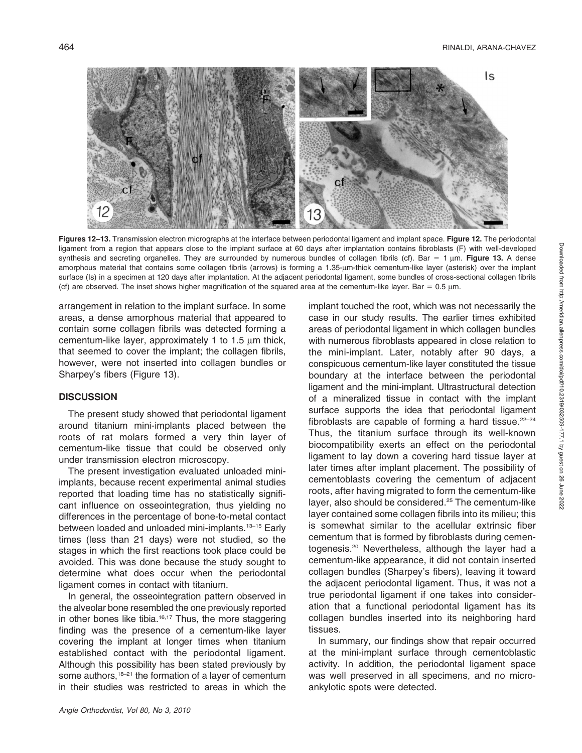

Figures 12–13. Transmission electron micrographs at the interface between periodontal ligament and implant space. Figure 12. The periodontal ligament from a region that appears close to the implant surface at 60 days after implantation contains fibroblasts (F) with well-developed synthesis and secreting organelles. They are surrounded by numerous bundles of collagen fibrils (cf). Bar = 1  $\mu$ m. Figure 13. A dense amorphous material that contains some collagen fibrils (arrows) is forming a 1.35-µm-thick cementum-like layer (asterisk) over the implant surface (Is) in a specimen at 120 days after implantation. At the adjacent periodontal ligament, some bundles of cross-sectional collagen fibrils (cf) are observed. The inset shows higher magnification of the squared area at the cementum-like layer. Bar =  $0.5 \mu m$ .

arrangement in relation to the implant surface. In some areas, a dense amorphous material that appeared to contain some collagen fibrils was detected forming a cementum-like layer, approximately 1 to 1.5  $\mu$ m thick, that seemed to cover the implant; the collagen fibrils, however, were not inserted into collagen bundles or Sharpey's fibers (Figure 13).

# **DISCUSSION**

The present study showed that periodontal ligament around titanium mini-implants placed between the roots of rat molars formed a very thin layer of cementum-like tissue that could be observed only under transmission electron microscopy.

The present investigation evaluated unloaded miniimplants, because recent experimental animal studies reported that loading time has no statistically significant influence on osseointegration, thus yielding no differences in the percentage of bone-to-metal contact between loaded and unloaded mini-implants.<sup>13-15</sup> Early times (less than 21 days) were not studied, so the stages in which the first reactions took place could be avoided. This was done because the study sought to determine what does occur when the periodontal ligament comes in contact with titanium.

In general, the osseointegration pattern observed in the alveolar bone resembled the one previously reported in other bones like tibia.<sup>16,17</sup> Thus, the more staggering finding was the presence of a cementum-like layer covering the implant at longer times when titanium established contact with the periodontal ligament. Although this possibility has been stated previously by some authors,<sup>18–21</sup> the formation of a layer of cementum in their studies was restricted to areas in which the

Angle Orthodontist, Vol 80, No 3, 2010

implant touched the root, which was not necessarily the case in our study results. The earlier times exhibited areas of periodontal ligament in which collagen bundles with numerous fibroblasts appeared in close relation to the mini-implant. Later, notably after 90 days, a conspicuous cementum-like layer constituted the tissue boundary at the interface between the periodontal ligament and the mini-implant. Ultrastructural detection of a mineralized tissue in contact with the implant surface supports the idea that periodontal ligament fibroblasts are capable of forming a hard tissue.<sup>22-24</sup> Thus, the titanium surface through its well-known biocompatibility exerts an effect on the periodontal ligament to lay down a covering hard tissue layer at later times after implant placement. The possibility of cementoblasts covering the cementum of adjacent roots, after having migrated to form the cementum-like layer, also should be considered.<sup>25</sup> The cementum-like layer contained some collagen fibrils into its milieu; this is somewhat similar to the acellular extrinsic fiber cementum that is formed by fibroblasts during cementogenesis.20 Nevertheless, although the layer had a cementum-like appearance, it did not contain inserted collagen bundles (Sharpey's fibers), leaving it toward the adjacent periodontal ligament. Thus, it was not a true periodontal ligament if one takes into consideration that a functional periodontal ligament has its collagen bundles inserted into its neighboring hard tissues.

In summary, our findings show that repair occurred at the mini-implant surface through cementoblastic activity. In addition, the periodontal ligament space was well preserved in all specimens, and no microankylotic spots were detected.